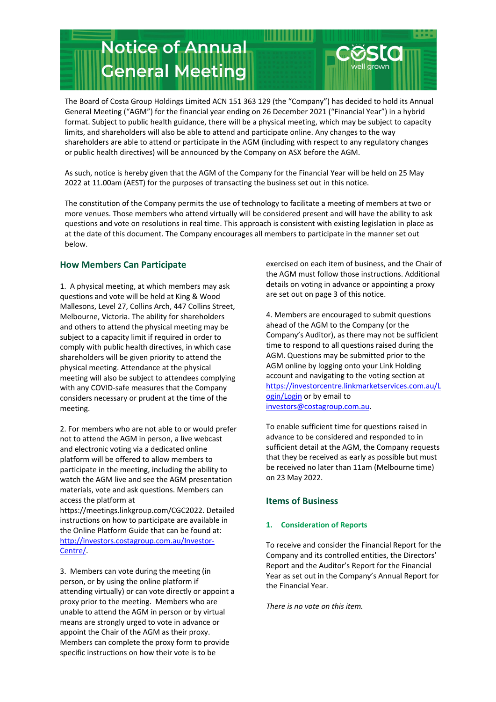

The Board of Costa Group Holdings Limited ACN 151 363 129 (the "Company") has decided to hold its Annual General Meeting ("AGM") for the financial year ending on 26 December 2021 ("Financial Year") in a hybrid format. Subject to public health guidance, there will be a physical meeting, which may be subject to capacity limits, and shareholders will also be able to attend and participate online. Any changes to the way shareholders are able to attend or participate in the AGM (including with respect to any regulatory changes or public health directives) will be announced by the Company on ASX before the AGM.

As such, notice is hereby given that the AGM of the Company for the Financial Year will be held on 25 May 2022 at 11.00am (AEST) for the purposes of transacting the business set out in this notice.

The constitution of the Company permits the use of technology to facilitate a meeting of members at two or more venues. Those members who attend virtually will be considered present and will have the ability to ask questions and vote on resolutions in real time. This approach is consistent with existing legislation in place as at the date of this document. The Company encourages all members to participate in the manner set out below.

# **How Members Can Participate**

1. A physical meeting, at which members may ask questions and vote will be held at King & Wood Mallesons, Level 27, Collins Arch, 447 Collins Street, Melbourne, Victoria. The ability for shareholders and others to attend the physical meeting may be subject to a capacity limit if required in order to comply with public health directives, in which case shareholders will be given priority to attend the physical meeting. Attendance at the physical meeting will also be subject to attendees complying with any COVID-safe measures that the Company considers necessary or prudent at the time of the meeting.

2. For members who are not able to or would prefer not to attend the AGM in person, a live webcast and electronic voting via a dedicated online platform will be offered to allow members to participate in the meeting, including the ability to watch the AGM live and see the AGM presentation materials, vote and ask questions. Members can access the platform at

https://meetings.linkgroup.com/CGC2022. Detailed instructions on how to participate are available in the Online Platform Guide that can be found at: [http://investors.costagroup.com.au/Investor-](http://investors.costagroup.com.au/Investor-Centre/)[Centre/.](http://investors.costagroup.com.au/Investor-Centre/)

3. Members can vote during the meeting (in person, or by using the online platform if attending virtually) or can vote directly or appoint a proxy prior to the meeting. Members who are unable to attend the AGM in person or by virtual means are strongly urged to vote in advance or appoint the Chair of the AGM as their proxy. Members can complete the proxy form to provide specific instructions on how their vote is to be

exercised on each item of business, and the Chair of the AGM must follow those instructions. Additional details on voting in advance or appointing a proxy are set out on page 3 of this notice.

4. Members are encouraged to submit questions ahead of the AGM to the Company (or the Company's Auditor), as there may not be sufficient time to respond to all questions raised during the AGM. Questions may be submitted prior to the AGM online by logging onto your Link Holding account and navigating to the voting section at [https://investorcentre.linkmarketservices.com.au/L](https://investorcentre.linkmarketservices.com.au/Login/Login) [ogin/Login](https://investorcentre.linkmarketservices.com.au/Login/Login) or by email to [investors@costagroup.com.au.](mailto:investors@costagroup.com.au)

To enable sufficient time for questions raised in advance to be considered and responded to in sufficient detail at the AGM, the Company requests that they be received as early as possible but must be received no later than 11am (Melbourne time) on 23 May 2022.

## **Items of Business**

## **1. Consideration of Reports**

To receive and consider the Financial Report for the Company and its controlled entities, the Directors' Report and the Auditor's Report for the Financial Year as set out in the Company's Annual Report for the Financial Year.

*There is no vote on this item.*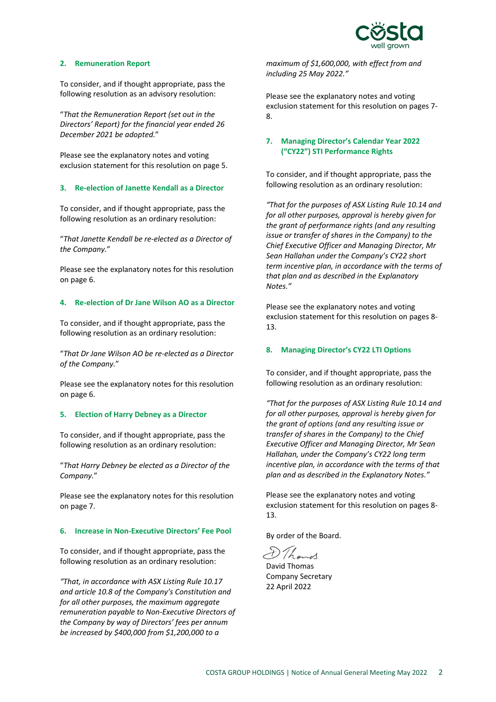

# **2. Remuneration Report**

To consider, and if thought appropriate, pass the following resolution as an advisory resolution:

"*That the Remuneration Report (set out in the Directors' Report) for the financial year ended 26 December 2021 be adopted.*"

Please see the explanatory notes and voting exclusion statement for this resolution on page 5.

#### **3. Re-election of Janette Kendall as a Director**

To consider, and if thought appropriate, pass the following resolution as an ordinary resolution:

"*That Janette Kendall be re-elected as a Director of the Company.*"

Please see the explanatory notes for this resolution on page 6.

#### **4. Re-election of Dr Jane Wilson AO as a Director**

To consider, and if thought appropriate, pass the following resolution as an ordinary resolution:

"*That Dr Jane Wilson AO be re-elected as a Director of the Company.*"

Please see the explanatory notes for this resolution on page 6.

## **5. Election of Harry Debney as a Director**

To consider, and if thought appropriate, pass the following resolution as an ordinary resolution:

"*That Harry Debney be elected as a Director of the Company.*"

Please see the explanatory notes for this resolution on page 7.

#### **6. Increase in Non-Executive Directors' Fee Pool**

To consider, and if thought appropriate, pass the following resolution as an ordinary resolution:

*"That, in accordance with ASX Listing Rule 10.17 and article 10.8 of the Company's Constitution and for all other purposes, the maximum aggregate remuneration payable to Non-Executive Directors of the Company by way of Directors' fees per annum be increased by \$400,000 from \$1,200,000 to a* 

*maximum of \$1,600,000, with effect from and including 25 May 2022."* 

Please see the explanatory notes and voting exclusion statement for this resolution on pages 7- 8.

# **7. Managing Director's Calendar Year 2022 ("CY22") STI Performance Rights**

To consider, and if thought appropriate, pass the following resolution as an ordinary resolution:

*"That for the purposes of ASX Listing Rule 10.14 and for all other purposes, approval is hereby given for the grant of performance rights (and any resulting issue or transfer of shares in the Company) to the Chief Executive Officer and Managing Director, Mr Sean Hallahan under the Company's CY22 short term incentive plan, in accordance with the terms of that plan and as described in the Explanatory Notes."*

Please see the explanatory notes and voting exclusion statement for this resolution on pages 8- 13.

### **8. Managing Director's CY22 LTI Options**

To consider, and if thought appropriate, pass the following resolution as an ordinary resolution:

*"That for the purposes of ASX Listing Rule 10.14 and for all other purposes, approval is hereby given for the grant of options (and any resulting issue or transfer of shares in the Company) to the Chief Executive Officer and Managing Director, Mr Sean Hallahan, under the Company's CY22 long term incentive plan, in accordance with the terms of that plan and as described in the Explanatory Notes."*

Please see the explanatory notes and voting exclusion statement for this resolution on pages 8- 13.

By order of the Board.

D Thomas

David Thomas Company Secretary 22 April 2022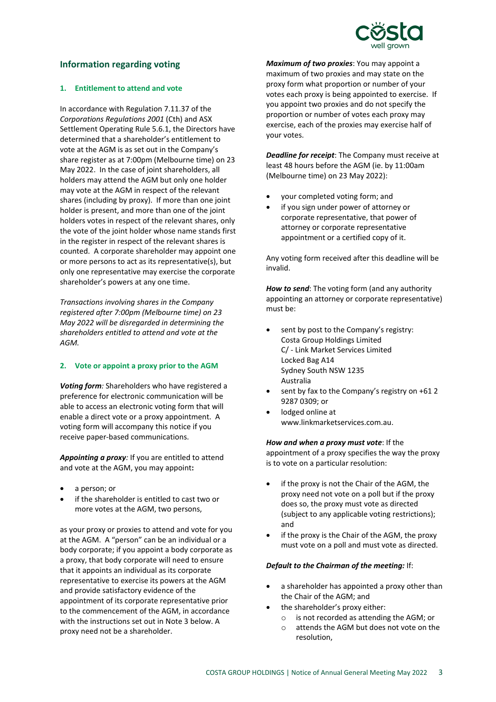

# **Information regarding voting**

### **1. Entitlement to attend and vote**

In accordance with Regulation 7.11.37 of the *Corporations Regulations 2001* (Cth) and ASX Settlement Operating Rule 5.6.1, the Directors have determined that a shareholder's entitlement to vote at the AGM is as set out in the Company's share register as at 7:00pm (Melbourne time) on 23 May 2022. In the case of joint shareholders, all holders may attend the AGM but only one holder may vote at the AGM in respect of the relevant shares (including by proxy). If more than one joint holder is present, and more than one of the joint holders votes in respect of the relevant shares, only the vote of the joint holder whose name stands first in the register in respect of the relevant shares is counted. A corporate shareholder may appoint one or more persons to act as its representative(s), but only one representative may exercise the corporate shareholder's powers at any one time.

*Transactions involving shares in the Company registered after 7:00pm (Melbourne time) on 23 May 2022 will be disregarded in determining the shareholders entitled to attend and vote at the AGM.*

## **2. Vote or appoint a proxy prior to the AGM**

*Voting form:* Shareholders who have registered a preference for electronic communication will be able to access an electronic voting form that will enable a direct vote or a proxy appointment. A voting form will accompany this notice if you receive paper-based communications.

*Appointing a proxy:* If you are entitled to attend and vote at the AGM, you may appoint**:**

- a person; or
- if the shareholder is entitled to cast two or more votes at the AGM, two persons,

as your proxy or proxies to attend and vote for you at the AGM. A "person" can be an individual or a body corporate; if you appoint a body corporate as a proxy, that body corporate will need to ensure that it appoints an individual as its corporate representative to exercise its powers at the AGM and provide satisfactory evidence of the appointment of its corporate representative prior to the commencement of the AGM, in accordance with the instructions set out in Note 3 below. A proxy need not be a shareholder.

*Maximum of two proxies*: You may appoint a maximum of two proxies and may state on the proxy form what proportion or number of your votes each proxy is being appointed to exercise. If you appoint two proxies and do not specify the proportion or number of votes each proxy may exercise, each of the proxies may exercise half of your votes.

*Deadline for receipt*: The Company must receive at least 48 hours before the AGM (ie. by 11:00am (Melbourne time) on 23 May 2022):

- your completed voting form; and
- if you sign under power of attorney or corporate representative, that power of attorney or corporate representative appointment or a certified copy of it.

Any voting form received after this deadline will be invalid.

*How to send*: The voting form (and any authority appointing an attorney or corporate representative) must be:

- sent by post to the Company's registry: Costa Group Holdings Limited C/ - Link Market Services Limited Locked Bag A14 Sydney South NSW 1235 Australia
- sent by fax to the Company's registry on +61 2 9287 0309; or
- lodged online at www.linkmarketservices.com.au.

*How and when a proxy must vote*: If the

appointment of a proxy specifies the way the proxy is to vote on a particular resolution:

- if the proxy is not the Chair of the AGM, the proxy need not vote on a poll but if the proxy does so, the proxy must vote as directed (subject to any applicable voting restrictions); and
- if the proxy is the Chair of the AGM, the proxy must vote on a poll and must vote as directed.

## *Default to the Chairman of the meeting:* If:

- a shareholder has appointed a proxy other than the Chair of the AGM; and
- the shareholder's proxy either:
	- o is not recorded as attending the AGM; or
	- o attends the AGM but does not vote on the resolution,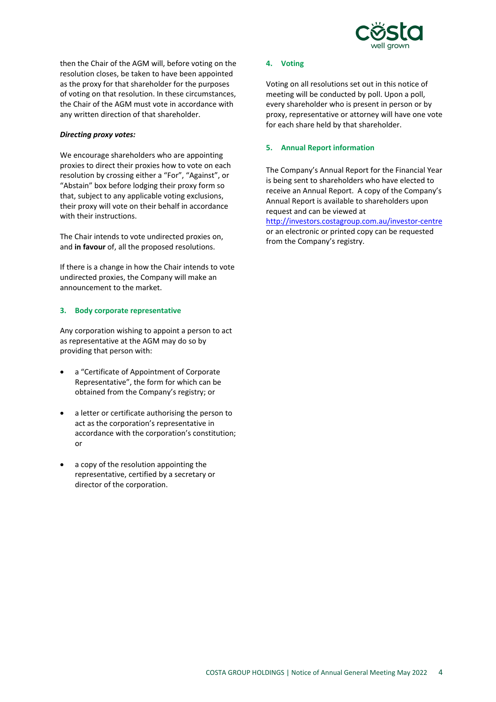

then the Chair of the AGM will, before voting on the resolution closes, be taken to have been appointed as the proxy for that shareholder for the purposes of voting on that resolution. In these circumstances, the Chair of the AGM must vote in accordance with any written direction of that shareholder.

## *Directing proxy votes:*

We encourage shareholders who are appointing proxies to direct their proxies how to vote on each resolution by crossing either a "For", "Against", or "Abstain" box before lodging their proxy form so that, subject to any applicable voting exclusions, their proxy will vote on their behalf in accordance with their instructions.

The Chair intends to vote undirected proxies on, and **in favour** of, all the proposed resolutions.

If there is a change in how the Chair intends to vote undirected proxies, the Company will make an announcement to the market.

## **3. Body corporate representative**

Any corporation wishing to appoint a person to act as representative at the AGM may do so by providing that person with:

- a "Certificate of Appointment of Corporate Representative", the form for which can be obtained from the Company's registry; or
- a letter or certificate authorising the person to act as the corporation's representative in accordance with the corporation's constitution; or
- a copy of the resolution appointing the representative, certified by a secretary or director of the corporation.

#### **4. Voting**

Voting on all resolutions set out in this notice of meeting will be conducted by poll. Upon a poll, every shareholder who is present in person or by proxy, representative or attorney will have one vote for each share held by that shareholder.

#### **5. Annual Report information**

The Company's Annual Report for the Financial Year is being sent to shareholders who have elected to receive an Annual Report. A copy of the Company's Annual Report is available to shareholders upon request and can be viewed at [http://investors.costagroup.com.au/investor-centre](http://investors.costagroup.com.au/investor-centre/?page=latest-reports) or an electronic or printed copy can be requested from the Company's registry.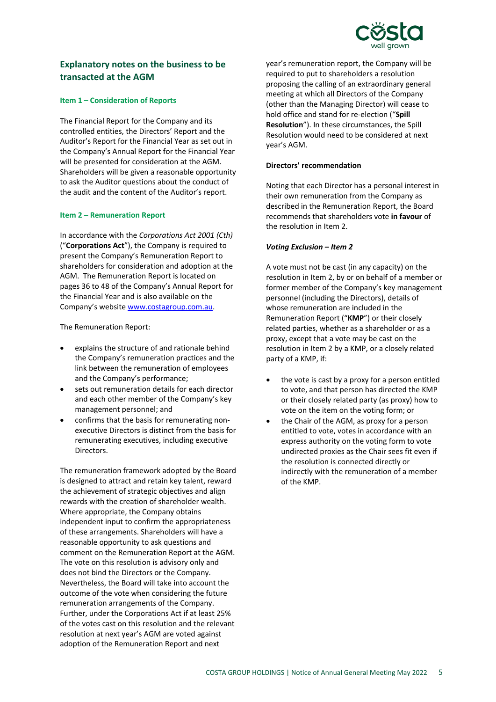

# **Explanatory notes on the business to be transacted at the AGM**

### **Item 1 – Consideration of Reports**

The Financial Report for the Company and its controlled entities, the Directors' Report and the Auditor's Report for the Financial Year as set out in the Company's Annual Report for the Financial Year will be presented for consideration at the AGM. Shareholders will be given a reasonable opportunity to ask the Auditor questions about the conduct of the audit and the content of the Auditor's report.

#### **Item 2 – Remuneration Report**

In accordance with the *Corporations Act 2001 (Cth)* ("**Corporations Act**"), the Company is required to present the Company's Remuneration Report to shareholders for consideration and adoption at the AGM. The Remuneration Report is located on pages 36 to 48 of the Company's Annual Report for the Financial Year and is also available on the Company's website www.costagroup.com.au.

The Remuneration Report:

- explains the structure of and rationale behind the Company's remuneration practices and the link between the remuneration of employees and the Company's performance;
- sets out remuneration details for each director and each other member of the Company's key management personnel; and
- confirms that the basis for remunerating nonexecutive Directors is distinct from the basis for remunerating executives, including executive Directors.

The remuneration framework adopted by the Board is designed to attract and retain key talent, reward the achievement of strategic objectives and align rewards with the creation of shareholder wealth. Where appropriate, the Company obtains independent input to confirm the appropriateness of these arrangements. Shareholders will have a reasonable opportunity to ask questions and comment on the Remuneration Report at the AGM. The vote on this resolution is advisory only and does not bind the Directors or the Company. Nevertheless, the Board will take into account the outcome of the vote when considering the future remuneration arrangements of the Company. Further, under the Corporations Act if at least 25% of the votes cast on this resolution and the relevant resolution at next year's AGM are voted against adoption of the Remuneration Report and next

year's remuneration report, the Company will be required to put to shareholders a resolution proposing the calling of an extraordinary general meeting at which all Directors of the Company (other than the Managing Director) will cease to hold office and stand for re-election ("**Spill Resolution**"). In these circumstances, the Spill Resolution would need to be considered at next year's AGM.

#### **Directors' recommendation**

Noting that each Director has a personal interest in their own remuneration from the Company as described in the Remuneration Report, the Board recommends that shareholders vote **in favour** of the resolution in Item 2.

#### *Voting Exclusion – Item 2*

A vote must not be cast (in any capacity) on the resolution in Item 2, by or on behalf of a member or former member of the Company's key management personnel (including the Directors), details of whose remuneration are included in the Remuneration Report ("**KMP**") or their closely related parties, whether as a shareholder or as a proxy, except that a vote may be cast on the resolution in Item 2 by a KMP, or a closely related party of a KMP, if:

- the vote is cast by a proxy for a person entitled to vote, and that person has directed the KMP or their closely related party (as proxy) how to vote on the item on the voting form; or
- the Chair of the AGM, as proxy for a person entitled to vote, votes in accordance with an express authority on the voting form to vote undirected proxies as the Chair sees fit even if the resolution is connected directly or indirectly with the remuneration of a member of the KMP.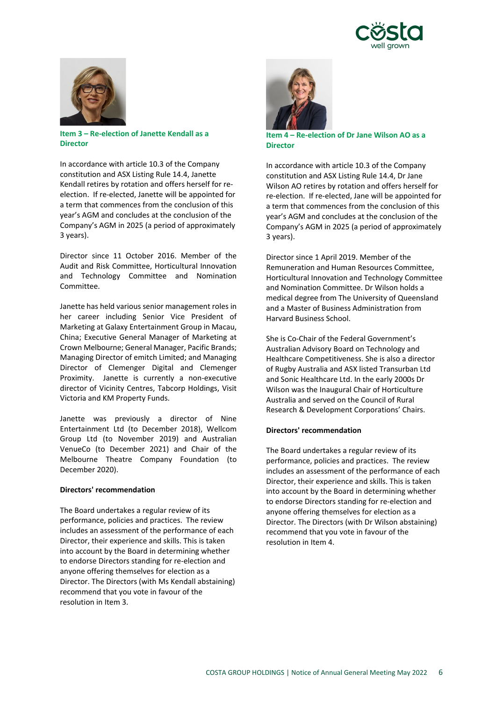



**Item 3 – Re-election of Janette Kendall as a Director**

In accordance with article 10.3 of the Company constitution and ASX Listing Rule 14.4, Janette Kendall retires by rotation and offers herself for reelection. If re-elected, Janette will be appointed for a term that commences from the conclusion of this year's AGM and concludes at the conclusion of the Company's AGM in 2025 (a period of approximately 3 years).

Director since 11 October 2016. Member of the Audit and Risk Committee, Horticultural Innovation and Technology Committee and Nomination Committee.

Janette has held various senior management roles in her career including Senior Vice President of Marketing at Galaxy Entertainment Group in Macau, China; Executive General Manager of Marketing at Crown Melbourne; General Manager, Pacific Brands; Managing Director of emitch Limited; and Managing Director of Clemenger Digital and Clemenger Proximity. Janette is currently a non-executive director of Vicinity Centres, Tabcorp Holdings, Visit Victoria and KM Property Funds.

Janette was previously a director of Nine Entertainment Ltd (to December 2018), Wellcom Group Ltd (to November 2019) and Australian VenueCo (to December 2021) and Chair of the Melbourne Theatre Company Foundation (to December 2020).

#### **Directors' recommendation**

The Board undertakes a regular review of its performance, policies and practices. The review includes an assessment of the performance of each Director, their experience and skills. This is taken into account by the Board in determining whether to endorse Directors standing for re-election and anyone offering themselves for election as a Director. The Directors (with Ms Kendall abstaining) recommend that you vote in favour of the resolution in Item 3.



**Item 4 – Re-election of Dr Jane Wilson AO as a Director**

In accordance with article 10.3 of the Company constitution and ASX Listing Rule 14.4, Dr Jane Wilson AO retires by rotation and offers herself for re-election. If re-elected, Jane will be appointed for a term that commences from the conclusion of this year's AGM and concludes at the conclusion of the Company's AGM in 2025 (a period of approximately 3 years).

Director since 1 April 2019. Member of the Remuneration and Human Resources Committee, Horticultural Innovation and Technology Committee and Nomination Committee. Dr Wilson holds a medical degree from The University of Queensland and a Master of Business Administration from Harvard Business School.

She is Co-Chair of the Federal Government's Australian Advisory Board on Technology and Healthcare Competitiveness. She is also a director of Rugby Australia and ASX listed Transurban Ltd and Sonic Healthcare Ltd. In the early 2000s Dr Wilson was the Inaugural Chair of Horticulture Australia and served on the Council of Rural Research & Development Corporations' Chairs.

## **Directors' recommendation**

The Board undertakes a regular review of its performance, policies and practices. The review includes an assessment of the performance of each Director, their experience and skills. This is taken into account by the Board in determining whether to endorse Directors standing for re-election and anyone offering themselves for election as a Director. The Directors (with Dr Wilson abstaining) recommend that you vote in favour of the resolution in Item 4.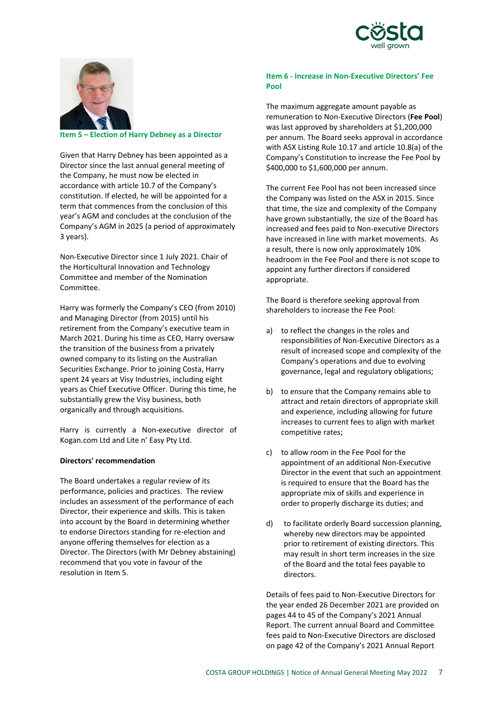



**Item 5 – Election of Harry Debney as a Director**

Given that Harry Debney has been appointed as a Director since the last annual general meeting of the Company, he must now be elected in accordance with article 10.7 of the Company's constitution. If elected, he will be appointed for a term that commences from the conclusion of this year's AGM and concludes at the conclusion of the Company's AGM in 2025 (a period of approximately 3 years).

Non-Executive Director since 1 July 2021. Chair of the Horticultural Innovation and Technology Committee and member of the Nomination Committee.

Harry was formerly the Company's CEO (from 2010) and Managing Director (from 2015) until his retirement from the Company's executive team in March 2021. During his time as CEO, Harry oversaw the transition of the business from a privately owned company to its listing on the Australian Securities Exchange. Prior to joining Costa, Harry spent 24 years at Visy Industries, including eight years as Chief Executive Officer. During this time, he substantially grew the Visy business, both organically and through acquisitions.

Harry is currently a Non-executive director of Kogan.com Ltd and Lite n' Easy Pty Ltd.

## **Directors' recommendation**

The Board undertakes a regular review of its performance, policies and practices. The review includes an assessment of the performance of each Director, their experience and skills. This is taken into account by the Board in determining whether to endorse Directors standing for re-election and anyone offering themselves for election as a Director. The Directors (with Mr Debney abstaining) recommend that you vote in favour of the resolution in Item 5.

# **Item 6 - Increase in Non-Executive Directors' Fee Pool**

The maximum aggregate amount payable as remuneration to Non-Executive Directors (**Fee Pool**) was last approved by shareholders at \$1,200,000 per annum. The Board seeks approval in accordance with ASX Listing Rule 10.17 and article 10.8(a) of the Company's Constitution to increase the Fee Pool by \$400,000 to \$1,600,000 per annum.

The current Fee Pool has not been increased since the Company was listed on the ASX in 2015. Since that time, the size and complexity of the Company have grown substantially, the size of the Board has increased and fees paid to Non-executive Directors have increased in line with market movements. As a result, there is now only approximately 10% headroom in the Fee Pool and there is not scope to appoint any further directors if considered appropriate.

The Board is therefore seeking approval from shareholders to increase the Fee Pool:

- a) to reflect the changes in the roles and responsibilities of Non-Executive Directors as a result of increased scope and complexity of the Company's operations and due to evolving governance, legal and regulatory obligations;
- b) to ensure that the Company remains able to attract and retain directors of appropriate skill and experience, including allowing for future increases to current fees to align with market competitive rates;
- c) to allow room in the Fee Pool for the appointment of an additional Non-Executive Director in the event that such an appointment is required to ensure that the Board has the appropriate mix of skills and experience in order to properly discharge its duties; and
- d) to facilitate orderly Board succession planning, whereby new directors may be appointed prior to retirement of existing directors. This may result in short term increases in the size of the Board and the total fees payable to directors.

Details of fees paid to Non-Executive Directors for the year ended 26 December 2021 are provided on pages 44 to 45 of the Company's 2021 Annual Report. The current annual Board and Committee fees paid to Non-Executive Directors are disclosed on page 42 of the Company's 2021 Annual Report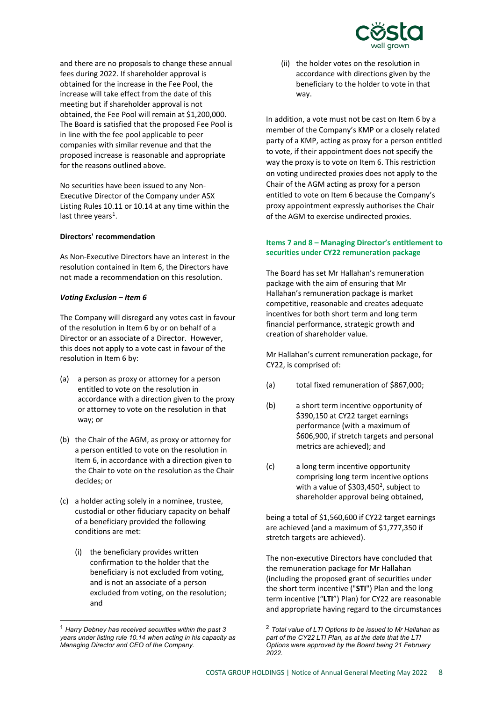

and there are no proposals to change these annual fees during 2022. If shareholder approval is obtained for the increase in the Fee Pool, the increase will take effect from the date of this meeting but if shareholder approval is not obtained, the Fee Pool will remain at \$1,200,000. The Board is satisfied that the proposed Fee Pool is in line with the fee pool applicable to peer companies with similar revenue and that the proposed increase is reasonable and appropriate for the reasons outlined above.

No securities have been issued to any Non-Executive Director of the Company under ASX Listing Rules 10.11 or 10.14 at any time within the last three years<sup>[1](#page-7-0)</sup>.

#### **Directors' recommendation**

As Non-Executive Directors have an interest in the resolution contained in Item 6, the Directors have not made a recommendation on this resolution.

#### *Voting Exclusion – Item 6*

The Company will disregard any votes cast in favour of the resolution in Item 6 by or on behalf of a Director or an associate of a Director. However, this does not apply to a vote cast in favour of the resolution in Item 6 by:

- (a) a person as proxy or attorney for a person entitled to vote on the resolution in accordance with a direction given to the proxy or attorney to vote on the resolution in that way; or
- (b) the Chair of the AGM, as proxy or attorney for a person entitled to vote on the resolution in Item 6, in accordance with a direction given to the Chair to vote on the resolution as the Chair decides; or
- (c) a holder acting solely in a nominee, trustee, custodial or other fiduciary capacity on behalf of a beneficiary provided the following conditions are met:
	- (i) the beneficiary provides written confirmation to the holder that the beneficiary is not excluded from voting, and is not an associate of a person excluded from voting, on the resolution; and

(ii) the holder votes on the resolution in accordance with directions given by the beneficiary to the holder to vote in that way.

In addition, a vote must not be cast on Item 6 by a member of the Company's KMP or a closely related party of a KMP, acting as proxy for a person entitled to vote, if their appointment does not specify the way the proxy is to vote on Item 6. This restriction on voting undirected proxies does not apply to the Chair of the AGM acting as proxy for a person entitled to vote on Item 6 because the Company's proxy appointment expressly authorises the Chair of the AGM to exercise undirected proxies.

# **Items 7 and 8 – Managing Director's entitlement to securities under CY22 remuneration package**

The Board has set Mr Hallahan's remuneration package with the aim of ensuring that Mr Hallahan's remuneration package is market competitive, reasonable and creates adequate incentives for both short term and long term financial performance, strategic growth and creation of shareholder value.

Mr Hallahan's current remuneration package, for CY22, is comprised of:

- (a) total fixed remuneration of \$867,000;
- (b) a short term incentive opportunity of \$390,150 at CY22 target earnings performance (with a maximum of \$606,900, if stretch targets and personal metrics are achieved); and
- (c) a long term incentive opportunity comprising long term incentive options with a value of \$303,450 $^2$  $^2$ , subject to shareholder approval being obtained,

being a total of \$1,560,600 if CY22 target earnings are achieved (and a maximum of \$1,777,350 if stretch targets are achieved).

The non-executive Directors have concluded that the remuneration package for Mr Hallahan (including the proposed grant of securities under the short term incentive ("**STI**") Plan and the long term incentive ("**LTI**") Plan) for CY22 are reasonable and appropriate having regard to the circumstances

<span id="page-7-0"></span> <sup>1</sup> *Harry Debney has received securities within the past 3 years under listing rule 10.14 when acting in his capacity as Managing Director and CEO of the Company.*

<sup>2</sup> *Total value of LTI Options to be issued to Mr Hallahan as part of the CY22 LTI Plan, as at the date that the LTI Options were approved by the Board being 21 February 2022.*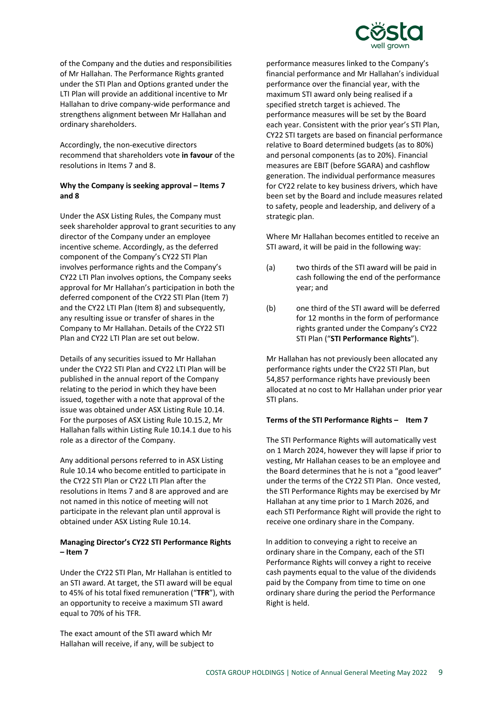

of the Company and the duties and responsibilities of Mr Hallahan. The Performance Rights granted under the STI Plan and Options granted under the LTI Plan will provide an additional incentive to Mr Hallahan to drive company-wide performance and strengthens alignment between Mr Hallahan and ordinary shareholders.

Accordingly, the non-executive directors recommend that shareholders vote **in favour** of the resolutions in Items 7 and 8.

# **Why the Company is seeking approval – Items 7 and 8**

Under the ASX Listing Rules, the Company must seek shareholder approval to grant securities to any director of the Company under an employee incentive scheme. Accordingly, as the deferred component of the Company's CY22 STI Plan involves performance rights and the Company's CY22 LTI Plan involves options, the Company seeks approval for Mr Hallahan's participation in both the deferred component of the CY22 STI Plan (Item 7) and the CY22 LTI Plan (Item 8) and subsequently, any resulting issue or transfer of shares in the Company to Mr Hallahan. Details of the CY22 STI Plan and CY22 LTI Plan are set out below.

Details of any securities issued to Mr Hallahan under the CY22 STI Plan and CY22 LTI Plan will be published in the annual report of the Company relating to the period in which they have been issued, together with a note that approval of the issue was obtained under ASX Listing Rule 10.14. For the purposes of ASX Listing Rule 10.15.2, Mr Hallahan falls within Listing Rule 10.14.1 due to his role as a director of the Company.

Any additional persons referred to in ASX Listing Rule 10.14 who become entitled to participate in the CY22 STI Plan or CY22 LTI Plan after the resolutions in Items 7 and 8 are approved and are not named in this notice of meeting will not participate in the relevant plan until approval is obtained under ASX Listing Rule 10.14.

# **Managing Director's CY22 STI Performance Rights – Item 7**

Under the CY22 STI Plan, Mr Hallahan is entitled to an STI award. At target, the STI award will be equal to 45% of his total fixed remuneration ("**TFR**"), with an opportunity to receive a maximum STI award equal to 70% of his TFR.

The exact amount of the STI award which Mr Hallahan will receive, if any, will be subject to performance measures linked to the Company's financial performance and Mr Hallahan's individual performance over the financial year, with the maximum STI award only being realised if a specified stretch target is achieved. The performance measures will be set by the Board each year. Consistent with the prior year's STI Plan, CY22 STI targets are based on financial performance relative to Board determined budgets (as to 80%) and personal components (as to 20%). Financial measures are EBIT (before SGARA) and cashflow generation. The individual performance measures for CY22 relate to key business drivers, which have been set by the Board and include measures related to safety, people and leadership, and delivery of a strategic plan.

Where Mr Hallahan becomes entitled to receive an STI award, it will be paid in the following way:

- (a) two thirds of the STI award will be paid in cash following the end of the performance year; and
- (b) one third of the STI award will be deferred for 12 months in the form of performance rights granted under the Company's CY22 STI Plan ("**STI Performance Rights**").

Mr Hallahan has not previously been allocated any performance rights under the CY22 STI Plan, but 54,857 performance rights have previously been allocated at no cost to Mr Hallahan under prior year STI plans.

# **Terms of the STI Performance Rights – Item 7**

The STI Performance Rights will automatically vest on 1 March 2024, however they will lapse if prior to vesting, Mr Hallahan ceases to be an employee and the Board determines that he is not a "good leaver" under the terms of the CY22 STI Plan. Once vested, the STI Performance Rights may be exercised by Mr Hallahan at any time prior to 1 March 2026, and each STI Performance Right will provide the right to receive one ordinary share in the Company.

In addition to conveying a right to receive an ordinary share in the Company, each of the STI Performance Rights will convey a right to receive cash payments equal to the value of the dividends paid by the Company from time to time on one ordinary share during the period the Performance Right is held.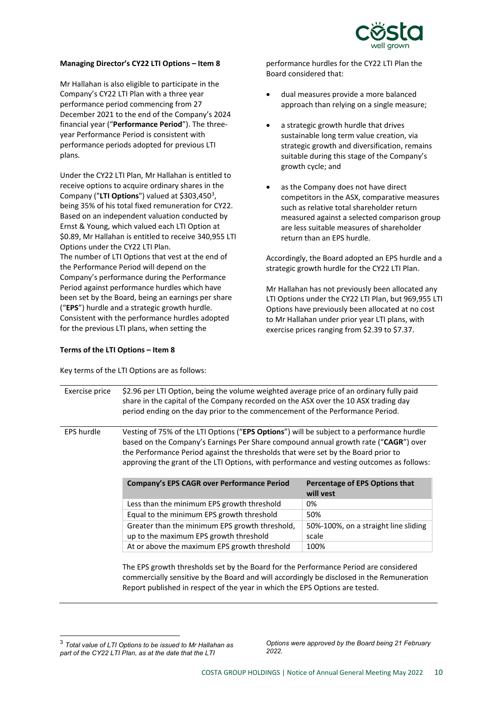

# **Managing Director's CY22 LTI Options – Item 8**

Mr Hallahan is also eligible to participate in the Company's CY22 LTI Plan with a three year performance period commencing from 27 December 2021 to the end of the Company's 2024 financial year ("**Performance Period**"). The threeyear Performance Period is consistent with performance periods adopted for previous LTI plans.

Under the CY22 LTI Plan, Mr Hallahan is entitled to receive options to acquire ordinary shares in the Company ("LTI Options") valued at \$[3](#page-9-0)03,450<sup>3</sup>, being 35% of his total fixed remuneration for CY22. Based on an independent valuation conducted by Ernst & Young, which valued each LTI Option at \$0.89, Mr Hallahan is entitled to receive 340,955 LTI Options under the CY22 LTI Plan. The number of LTI Options that vest at the end of the Performance Period will depend on the Company's performance during the Performance Period against performance hurdles which have been set by the Board, being an earnings per share ("**EPS**") hurdle and a strategic growth hurdle. Consistent with the performance hurdles adopted for the previous LTI plans, when setting the

# **Terms of the LTI Options – Item 8**

Key terms of the LTI Options are as follows:

performance hurdles for the CY22 LTI Plan the Board considered that:

- dual measures provide a more balanced approach than relying on a single measure;
- a strategic growth hurdle that drives sustainable long term value creation, via strategic growth and diversification, remains suitable during this stage of the Company's growth cycle; and
- as the Company does not have direct competitors in the ASX, comparative measures such as relative total shareholder return measured against a selected comparison group are less suitable measures of shareholder return than an EPS hurdle.

Accordingly, the Board adopted an EPS hurdle and a strategic growth hurdle for the CY22 LTI Plan.

Mr Hallahan has not previously been allocated any LTI Options under the CY22 LTI Plan, but 969,955 LTI Options have previously been allocated at no cost to Mr Hallahan under prior year LTI plans, with exercise prices ranging from \$2.39 to \$7.37.

| Exercise price    | \$2.96 per LTI Option, being the volume weighted average price of an ordinary fully paid<br>share in the capital of the Company recorded on the ASX over the 10 ASX trading day<br>period ending on the day prior to the commencement of the Performance Period.                                                                                                   |                                             |  |
|-------------------|--------------------------------------------------------------------------------------------------------------------------------------------------------------------------------------------------------------------------------------------------------------------------------------------------------------------------------------------------------------------|---------------------------------------------|--|
| <b>EPS hurdle</b> | Vesting of 75% of the LTI Options ("EPS Options") will be subject to a performance hurdle<br>based on the Company's Earnings Per Share compound annual growth rate ("CAGR") over<br>the Performance Period against the thresholds that were set by the Board prior to<br>approving the grant of the LTI Options, with performance and vesting outcomes as follows: |                                             |  |
|                   | <b>Company's EPS CAGR over Performance Period</b>                                                                                                                                                                                                                                                                                                                  | Percentage of EPS Options that<br>will yest |  |
|                   | Less than the minimum EPS growth threshold                                                                                                                                                                                                                                                                                                                         | 0%                                          |  |
|                   | Equal to the minimum EPS growth threshold                                                                                                                                                                                                                                                                                                                          | 50%                                         |  |
|                   | Greater than the minimum EPS growth threshold,                                                                                                                                                                                                                                                                                                                     | 50%-100%, on a straight line sliding        |  |
|                   | up to the maximum EPS growth threshold                                                                                                                                                                                                                                                                                                                             | scale                                       |  |
|                   | At or above the maximum EPS growth threshold                                                                                                                                                                                                                                                                                                                       | 100%                                        |  |
|                   |                                                                                                                                                                                                                                                                                                                                                                    |                                             |  |

The EPS growth thresholds set by the Board for the Performance Period are considered commercially sensitive by the Board and will accordingly be disclosed in the Remuneration Report published in respect of the year in which the EPS Options are tested.

-

*Options were approved by the Board being 21 February 2022.* 

<span id="page-9-0"></span><sup>3</sup> *Total value of LTI Options to be issued to Mr Hallahan as part of the CY22 LTI Plan, as at the date that the LTI*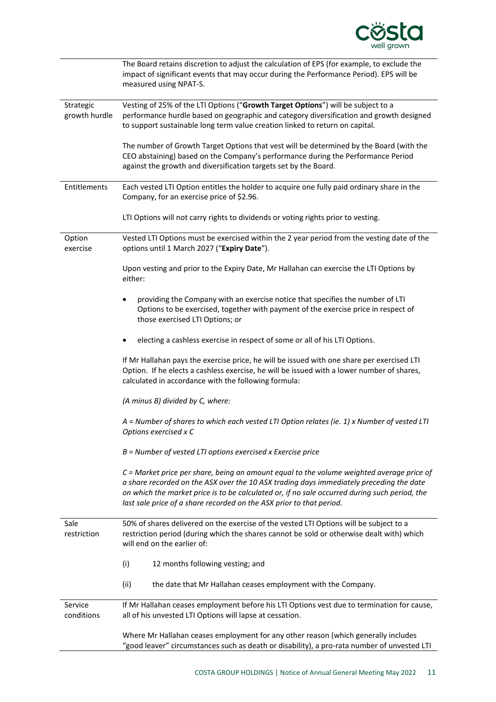

|                            | The Board retains discretion to adjust the calculation of EPS (for example, to exclude the<br>impact of significant events that may occur during the Performance Period). EPS will be<br>measured using NPAT-S.                                                                                                                                                 |
|----------------------------|-----------------------------------------------------------------------------------------------------------------------------------------------------------------------------------------------------------------------------------------------------------------------------------------------------------------------------------------------------------------|
| Strategic<br>growth hurdle | Vesting of 25% of the LTI Options ("Growth Target Options") will be subject to a<br>performance hurdle based on geographic and category diversification and growth designed<br>to support sustainable long term value creation linked to return on capital.                                                                                                     |
|                            | The number of Growth Target Options that vest will be determined by the Board (with the<br>CEO abstaining) based on the Company's performance during the Performance Period<br>against the growth and diversification targets set by the Board.                                                                                                                 |
| Entitlements               | Each vested LTI Option entitles the holder to acquire one fully paid ordinary share in the<br>Company, for an exercise price of \$2.96.                                                                                                                                                                                                                         |
|                            | LTI Options will not carry rights to dividends or voting rights prior to vesting.                                                                                                                                                                                                                                                                               |
| Option<br>exercise         | Vested LTI Options must be exercised within the 2 year period from the vesting date of the<br>options until 1 March 2027 ("Expiry Date").                                                                                                                                                                                                                       |
|                            | Upon vesting and prior to the Expiry Date, Mr Hallahan can exercise the LTI Options by<br>either:                                                                                                                                                                                                                                                               |
|                            | providing the Company with an exercise notice that specifies the number of LTI<br>Options to be exercised, together with payment of the exercise price in respect of<br>those exercised LTI Options; or                                                                                                                                                         |
|                            | electing a cashless exercise in respect of some or all of his LTI Options.                                                                                                                                                                                                                                                                                      |
|                            | If Mr Hallahan pays the exercise price, he will be issued with one share per exercised LTI<br>Option. If he elects a cashless exercise, he will be issued with a lower number of shares,<br>calculated in accordance with the following formula:                                                                                                                |
|                            | (A minus B) divided by C, where:                                                                                                                                                                                                                                                                                                                                |
|                            | A = Number of shares to which each vested LTI Option relates (ie. 1) x Number of vested LTI<br>Options exercised x C                                                                                                                                                                                                                                            |
|                            | B = Number of vested LTI options exercised x Exercise price                                                                                                                                                                                                                                                                                                     |
|                            | $C$ = Market price per share, being an amount equal to the volume weighted average price of<br>a share recorded on the ASX over the 10 ASX trading days immediately preceding the date<br>on which the market price is to be calculated or, if no sale occurred during such period, the<br>last sale price of a share recorded on the ASX prior to that period. |
| Sale<br>restriction        | 50% of shares delivered on the exercise of the vested LTI Options will be subject to a<br>restriction period (during which the shares cannot be sold or otherwise dealt with) which<br>will end on the earlier of:                                                                                                                                              |
|                            | (i)<br>12 months following vesting; and                                                                                                                                                                                                                                                                                                                         |
|                            | (ii)<br>the date that Mr Hallahan ceases employment with the Company.                                                                                                                                                                                                                                                                                           |
| Service<br>conditions      | If Mr Hallahan ceases employment before his LTI Options vest due to termination for cause,<br>all of his unvested LTI Options will lapse at cessation.                                                                                                                                                                                                          |
|                            | Where Mr Hallahan ceases employment for any other reason (which generally includes<br>"good leaver" circumstances such as death or disability), a pro-rata number of unvested LTI                                                                                                                                                                               |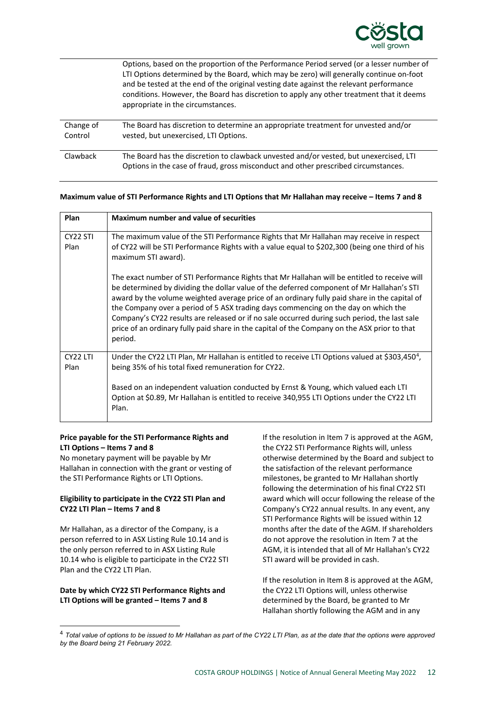

|                      | Options, based on the proportion of the Performance Period served (or a lesser number of<br>LTI Options determined by the Board, which may be zero) will generally continue on-foot<br>and be tested at the end of the original vesting date against the relevant performance<br>conditions. However, the Board has discretion to apply any other treatment that it deems<br>appropriate in the circumstances. |
|----------------------|----------------------------------------------------------------------------------------------------------------------------------------------------------------------------------------------------------------------------------------------------------------------------------------------------------------------------------------------------------------------------------------------------------------|
| Change of<br>Control | The Board has discretion to determine an appropriate treatment for unvested and/or<br>vested, but unexercised, LTI Options.                                                                                                                                                                                                                                                                                    |
| Clawback             | The Board has the discretion to clawback unvested and/or vested, but unexercised, LTI<br>Options in the case of fraud, gross misconduct and other prescribed circumstances.                                                                                                                                                                                                                                    |

#### **Maximum value of STI Performance Rights and LTI Options that Mr Hallahan may receive – Items 7 and 8**

| Plan                         | <b>Maximum number and value of securities</b>                                                                                                                                                                                                                                                                                                                                                                                                                                                                                                                                              |
|------------------------------|--------------------------------------------------------------------------------------------------------------------------------------------------------------------------------------------------------------------------------------------------------------------------------------------------------------------------------------------------------------------------------------------------------------------------------------------------------------------------------------------------------------------------------------------------------------------------------------------|
| CY <sub>22</sub> STI<br>Plan | The maximum value of the STI Performance Rights that Mr Hallahan may receive in respect<br>of CY22 will be STI Performance Rights with a value equal to \$202,300 (being one third of his<br>maximum STI award).                                                                                                                                                                                                                                                                                                                                                                           |
|                              | The exact number of STI Performance Rights that Mr Hallahan will be entitled to receive will<br>be determined by dividing the dollar value of the deferred component of Mr Hallahan's STI<br>award by the volume weighted average price of an ordinary fully paid share in the capital of<br>the Company over a period of 5 ASX trading days commencing on the day on which the<br>Company's CY22 results are released or if no sale occurred during such period, the last sale<br>price of an ordinary fully paid share in the capital of the Company on the ASX prior to that<br>period. |
| CY <sub>22</sub> LTI<br>Plan | Under the CY22 LTI Plan, Mr Hallahan is entitled to receive LTI Options valued at \$303,450 <sup>4</sup> ,<br>being 35% of his total fixed remuneration for CY22.<br>Based on an independent valuation conducted by Ernst & Young, which valued each LTI                                                                                                                                                                                                                                                                                                                                   |
|                              | Option at \$0.89, Mr Hallahan is entitled to receive 340,955 LTI Options under the CY22 LTI<br>Plan.                                                                                                                                                                                                                                                                                                                                                                                                                                                                                       |

# **Price payable for the STI Performance Rights and LTI Options – Items 7 and 8**

 $\overline{a}$ 

No monetary payment will be payable by Mr Hallahan in connection with the grant or vesting of the STI Performance Rights or LTI Options.

# **Eligibility to participate in the CY22 STI Plan and CY22 LTI Plan – Items 7 and 8**

Mr Hallahan, as a director of the Company, is a person referred to in ASX Listing Rule 10.14 and is the only person referred to in ASX Listing Rule 10.14 who is eligible to participate in the CY22 STI Plan and the CY22 LTI Plan.

# **Date by which CY22 STI Performance Rights and LTI Options will be granted – Items 7 and 8**

If the resolution in Item 7 is approved at the AGM, the CY22 STI Performance Rights will, unless otherwise determined by the Board and subject to the satisfaction of the relevant performance milestones, be granted to Mr Hallahan shortly following the determination of his final CY22 STI award which will occur following the release of the Company's CY22 annual results. In any event, any STI Performance Rights will be issued within 12 months after the date of the AGM. If shareholders do not approve the resolution in Item 7 at the AGM, it is intended that all of Mr Hallahan's CY22 STI award will be provided in cash.

If the resolution in Item 8 is approved at the AGM, the CY22 LTI Options will, unless otherwise determined by the Board, be granted to Mr Hallahan shortly following the AGM and in any

<span id="page-11-0"></span> <sup>4</sup> *Total value of options to be issued to Mr Hallahan as part of the CY22 LTI Plan, as at the date that the options were approved by the Board being 21 February 2022.*